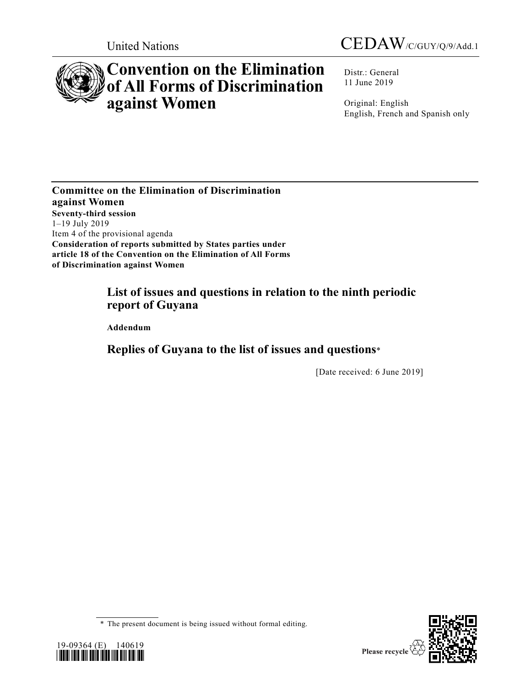



# **Convention on the Elimination of All Forms of Discrimination against Women**

Distr.: General 11 June 2019

Original: English English, French and Spanish only

**Committee on the Elimination of Discrimination against Women Seventy-third session** 1–19 July 2019 Item 4 of the provisional agenda **Consideration of reports submitted by States parties under article 18 of the Convention on the Elimination of All Forms of Discrimination against Women**

# **List of issues and questions in relation to the ninth periodic report of Guyana**

**Addendum**

# **Replies of Guyana to the list of issues and questions**\*

[Date received: 6 June 2019]





<sup>\*</sup> The present document is being issued without formal editing.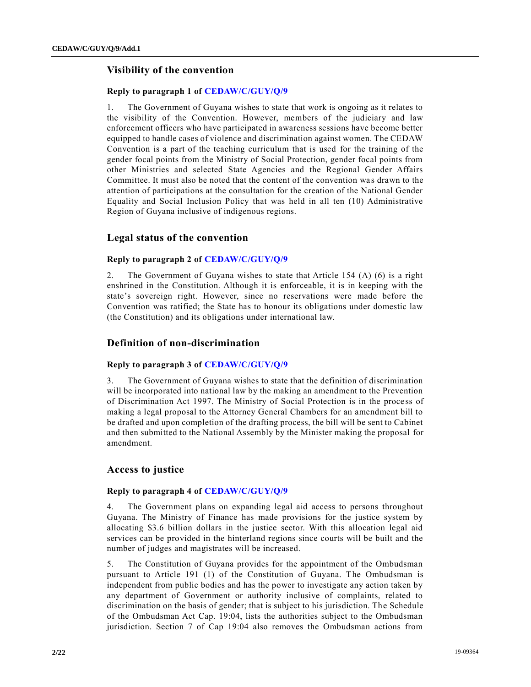# **Visibility of the convention**

#### **Reply to paragraph 1 of [CEDAW/C/GUY/Q/9](https://undocs.org/en/CEDAW/C/GUY/Q/9)**

1. The Government of Guyana wishes to state that work is ongoing as it relates to the visibility of the Convention. However, members of the judiciary and law enforcement officers who have participated in awareness sessions have become better equipped to handle cases of violence and discrimination against women. The CEDAW Convention is a part of the teaching curriculum that is used for the training of the gender focal points from the Ministry of Social Protection, gender focal points from other Ministries and selected State Agencies and the Regional Gender Affairs Committee. It must also be noted that the content of the convention wa s drawn to the attention of participations at the consultation for the creation of the National Gender Equality and Social Inclusion Policy that was held in all ten (10) Administrative Region of Guyana inclusive of indigenous regions.

# **Legal status of the convention**

#### **Reply to paragraph 2 of [CEDAW/C/GUY/Q/9](https://undocs.org/en/CEDAW/C/GUY/Q/9)**

2. The Government of Guyana wishes to state that Article 154 (A) (6) is a right enshrined in the Constitution. Although it is enforceable, it is in keeping with the state's sovereign right. However, since no reservations were made before the Convention was ratified; the State has to honour its obligations under domestic law (the Constitution) and its obligations under international law.

# **Definition of non-discrimination**

#### **Reply to paragraph 3 of [CEDAW/C/GUY/Q/9](https://undocs.org/en/CEDAW/C/GUY/Q/9)**

3. The Government of Guyana wishes to state that the definition of discrimination will be incorporated into national law by the making an amendment to the Prevention of Discrimination Act 1997. The Ministry of Social Protection is in the proce ss of making a legal proposal to the Attorney General Chambers for an amendment bill to be drafted and upon completion of the drafting process, the bill will be sent to Cabinet and then submitted to the National Assembly by the Minister making the proposal for amendment.

# **Access to justice**

#### **Reply to paragraph 4 of [CEDAW/C/GUY/Q/9](https://undocs.org/en/CEDAW/C/GUY/Q/9)**

The Government plans on expanding legal aid access to persons throughout Guyana. The Ministry of Finance has made provisions for the justice system by allocating \$3.6 billion dollars in the justice sector. With this allocation legal aid services can be provided in the hinterland regions since courts will be built and the number of judges and magistrates will be increased.

5. The Constitution of Guyana provides for the appointment of the Ombudsman pursuant to Article 191 (1) of the Constitution of Guyana. The Ombudsman is independent from public bodies and has the power to investigate any action taken by any department of Government or authority inclusive of complaints, related to discrimination on the basis of gender; that is subject to his jurisdiction. The Schedule of the Ombudsman Act Cap. 19:04, lists the authorities subject to the Ombudsman jurisdiction. Section 7 of Cap 19:04 also removes the Ombudsman actions from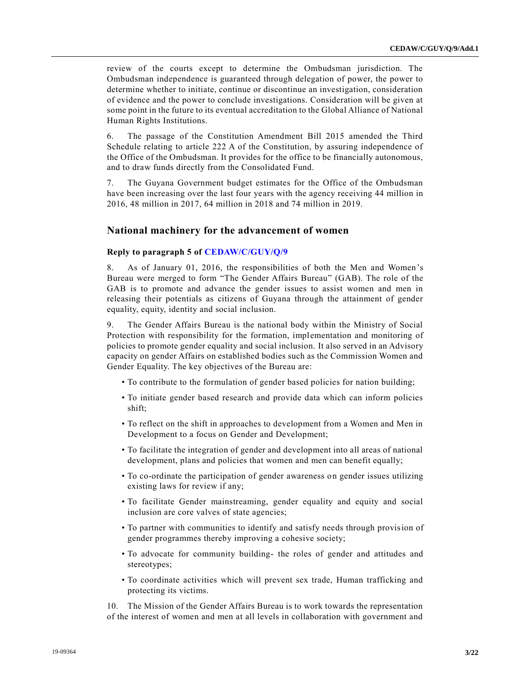review of the courts except to determine the Ombudsman jurisdiction. The Ombudsman independence is guaranteed through delegation of power, the power to determine whether to initiate, continue or discontinue an investigation, consideration of evidence and the power to conclude investigations. Consideration will be given at some point in the future to its eventual accreditation to the Global Alliance of National Human Rights Institutions.

6. The passage of the Constitution Amendment Bill 2015 amended the Third Schedule relating to article 222 A of the Constitution, by assuring independence of the Office of the Ombudsman. It provides for the office to be financially autonomous, and to draw funds directly from the Consolidated Fund.

7. The Guyana Government budget estimates for the Office of the Ombudsman have been increasing over the last four years with the agency receiving 44 million in 2016, 48 million in 2017, 64 million in 2018 and 74 million in 2019.

#### **National machinery for the advancement of women**

#### **Reply to paragraph 5 of [CEDAW/C/GUY/Q/9](https://undocs.org/en/CEDAW/C/GUY/Q/9)**

8. As of January 01, 2016, the responsibilities of both the Men and Women's Bureau were merged to form "The Gender Affairs Bureau" (GAB). The role of the GAB is to promote and advance the gender issues to assist women and men in releasing their potentials as citizens of Guyana through the attainment of gender equality, equity, identity and social inclusion.

9. The Gender Affairs Bureau is the national body within the Ministry of Social Protection with responsibility for the formation, implementation and monitoring of policies to promote gender equality and social inclusion. It also served in an Advisory capacity on gender Affairs on established bodies such as the Commission Women and Gender Equality. The key objectives of the Bureau are:

- To contribute to the formulation of gender based policies for nation building;
- To initiate gender based research and provide data which can inform policies shift;
- To reflect on the shift in approaches to development from a Women and Men in Development to a focus on Gender and Development;
- To facilitate the integration of gender and development into all areas of national development, plans and policies that women and men can benefit equally;
- To co-ordinate the participation of gender awareness on gender issues utilizing existing laws for review if any;
- To facilitate Gender mainstreaming, gender equality and equity and social inclusion are core valves of state agencies;
- To partner with communities to identify and satisfy needs through provision of gender programmes thereby improving a cohesive society;
- To advocate for community building- the roles of gender and attitudes and stereotypes;
- To coordinate activities which will prevent sex trade, Human trafficking and protecting its victims.

10. The Mission of the Gender Affairs Bureau is to work towards the representation of the interest of women and men at all levels in collaboration with government and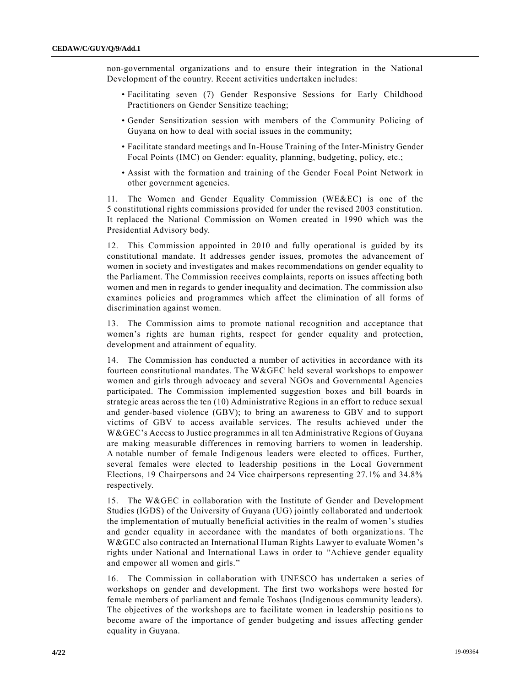non-governmental organizations and to ensure their integration in the National Development of the country. Recent activities undertaken includes:

- Facilitating seven (7) Gender Responsive Sessions for Early Childhood Practitioners on Gender Sensitize teaching;
- Gender Sensitization session with members of the Community Policing of Guyana on how to deal with social issues in the community;
- Facilitate standard meetings and In-House Training of the Inter-Ministry Gender Focal Points (IMC) on Gender: equality, planning, budgeting, policy, etc.;
- Assist with the formation and training of the Gender Focal Point Network in other government agencies.

11. The Women and Gender Equality Commission (WE&EC) is one of the 5 constitutional rights commissions provided for under the revised 2003 constitution. It replaced the National Commission on Women created in 1990 which was the Presidential Advisory body.

12. This Commission appointed in 2010 and fully operational is guided by its constitutional mandate. It addresses gender issues, promotes the advancement of women in society and investigates and makes recommendations on gender equality to the Parliament. The Commission receives complaints, reports on issues affecting both women and men in regards to gender inequality and decimation. The commission also examines policies and programmes which affect the elimination of all forms of discrimination against women.

13. The Commission aims to promote national recognition and acceptance that women's rights are human rights, respect for gender equality and protection, development and attainment of equality.

14. The Commission has conducted a number of activities in accordance with its fourteen constitutional mandates. The W&GEC held several workshops to empower women and girls through advocacy and several NGOs and Governmental Agencies participated. The Commission implemented suggestion boxes and bill boards in strategic areas across the ten (10) Administrative Regions in an effort to reduce sexual and gender-based violence (GBV); to bring an awareness to GBV and to support victims of GBV to access available services. The results achieved under the W&GEC's Access to Justice programmes in all ten Administrative Regions of Guyana are making measurable differences in removing barriers to women in leadership. A notable number of female Indigenous leaders were elected to offices. Further, several females were elected to leadership positions in the Local Government Elections, 19 Chairpersons and 24 Vice chairpersons representing 27.1% and 34.8% respectively.

15. The W&GEC in collaboration with the Institute of Gender and Development Studies (IGDS) of the University of Guyana (UG) jointly collaborated and undertook the implementation of mutually beneficial activities in the realm of women's studies and gender equality in accordance with the mandates of both organizations. The W&GEC also contracted an International Human Rights Lawyer to evaluate Women's rights under National and International Laws in order to "Achieve gender equality and empower all women and girls."

16. The Commission in collaboration with UNESCO has undertaken a series of workshops on gender and development. The first two workshops were hosted for female members of parliament and female Toshaos (Indigenous community leaders). The objectives of the workshops are to facilitate women in leadership positio ns to become aware of the importance of gender budgeting and issues affecting gender equality in Guyana.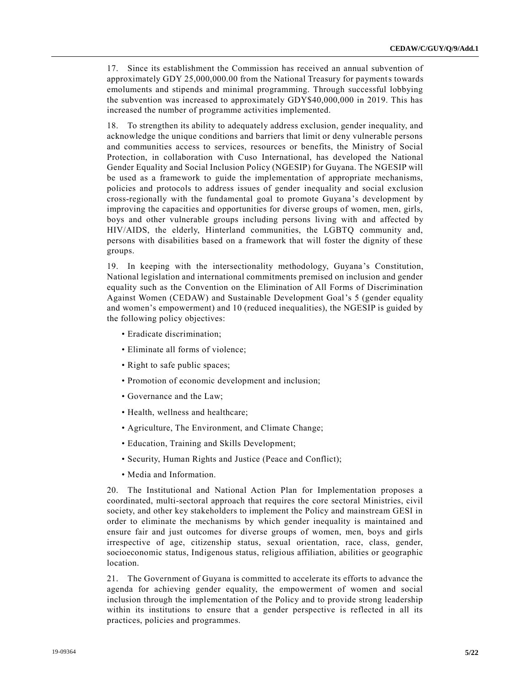17. Since its establishment the Commission has received an annual subvention of approximately GDY 25,000,000.00 from the National Treasury for payments towards emoluments and stipends and minimal programming. Through successful lobbying the subvention was increased to approximately GDY\$40,000,000 in 2019. This has increased the number of programme activities implemented.

18. To strengthen its ability to adequately address exclusion, gender inequality, and acknowledge the unique conditions and barriers that limit or deny vulnerable persons and communities access to services, resources or benefits, the Ministry of Social Protection, in collaboration with Cuso International, has developed the National Gender Equality and Social Inclusion Policy (NGESIP) for Guyana. The NGESIP will be used as a framework to guide the implementation of appropriate mechanisms, policies and protocols to address issues of gender inequality and social exclusion cross-regionally with the fundamental goal to promote Guyana's development by improving the capacities and opportunities for diverse groups of women, men, girls, boys and other vulnerable groups including persons living with and affected by HIV/AIDS, the elderly, Hinterland communities, the LGBTQ community and, persons with disabilities based on a framework that will foster the dignity of these groups.

19. In keeping with the intersectionality methodology, Guyana's Constitution, National legislation and international commitments premised on inclusion and gender equality such as the Convention on the Elimination of All Forms of Discrimination Against Women (CEDAW) and Sustainable Development Goal's 5 (gender equality and women's empowerment) and 10 (reduced inequalities), the NGESIP is guided by the following policy objectives:

- Eradicate discrimination;
- Eliminate all forms of violence;
- Right to safe public spaces;
- Promotion of economic development and inclusion;
- Governance and the Law;
- Health, wellness and healthcare;
- Agriculture, The Environment, and Climate Change;
- Education, Training and Skills Development;
- Security, Human Rights and Justice (Peace and Conflict);
- Media and Information.

20. The Institutional and National Action Plan for Implementation proposes a coordinated, multi-sectoral approach that requires the core sectoral Ministries, civil society, and other key stakeholders to implement the Policy and mainstream GESI in order to eliminate the mechanisms by which gender inequality is maintained and ensure fair and just outcomes for diverse groups of women, men, boys and girls irrespective of age, citizenship status, sexual orientation, race, class, gender, socioeconomic status, Indigenous status, religious affiliation, abilities or geographic location.

21. The Government of Guyana is committed to accelerate its efforts to advance the agenda for achieving gender equality, the empowerment of women and social inclusion through the implementation of the Policy and to provide strong leadership within its institutions to ensure that a gender perspective is reflected in all its practices, policies and programmes.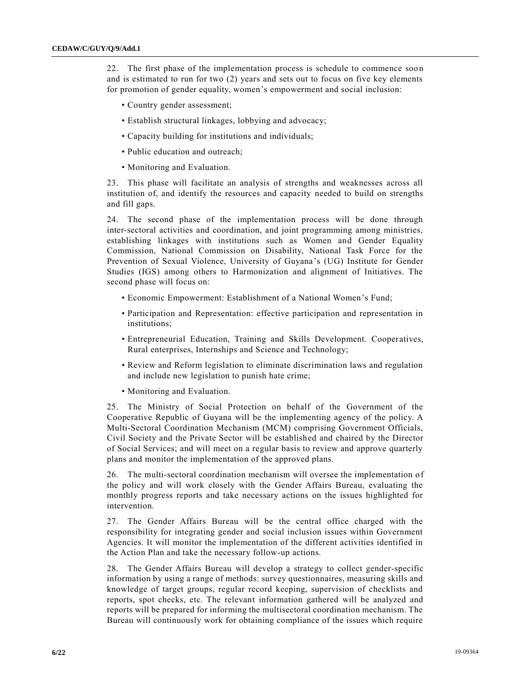22. The first phase of the implementation process is schedule to commence soo n and is estimated to run for two (2) years and sets out to focus on five key elements for promotion of gender equality, women's empowerment and social inclusion:

- Country gender assessment;
- Establish structural linkages, lobbying and advocacy;
- Capacity building for institutions and individuals;
- Public education and outreach;
- Monitoring and Evaluation.

23. This phase will facilitate an analysis of strengths and weaknesses across all institution of, and identify the resources and capacity needed to build on strengths and fill gaps.

24. The second phase of the implementation process will be done through inter-sectoral activities and coordination, and joint programming among ministries, establishing linkages with institutions such as Women and Gender Equality Commission, National Commission on Disability, National Task Force for the Prevention of Sexual Violence, University of Guyana's (UG) Institute for Gender Studies (IGS) among others to Harmonization and alignment of Initiatives. The second phase will focus on:

- Economic Empowerment: Establishment of a National Women's Fund;
- Participation and Representation: effective participation and representation in institutions;
- Entrepreneurial Education, Training and Skills Development. Cooperatives, Rural enterprises, Internships and Science and Technology;
- Review and Reform legislation to eliminate discrimination laws and regulation and include new legislation to punish hate crime;
- Monitoring and Evaluation.

25. The Ministry of Social Protection on behalf of the Government of the Cooperative Republic of Guyana will be the implementing agency of the policy. A Multi-Sectoral Coordination Mechanism (MCM) comprising Government Officials, Civil Society and the Private Sector will be established and chaired by the Director of Social Services; and will meet on a regular basis to review and approve quarterly plans and monitor the implementation of the approved plans.

26. The multi-sectoral coordination mechanism will oversee the implementation of the policy and will work closely with the Gender Affairs Bureau, evaluating the monthly progress reports and take necessary actions on the issues highlighted for intervention.

27. The Gender Affairs Bureau will be the central office charged with the responsibility for integrating gender and social inclusion issues within Government Agencies. It will monitor the implementation of the different activities identified in the Action Plan and take the necessary follow-up actions.

28. The Gender Affairs Bureau will develop a strategy to collect gender-specific information by using a range of methods: survey questionnaires, measuring skills and knowledge of target groups, regular record keeping, supervision of checklists and reports, spot checks, etc. The relevant information gathered will be analyzed and reports will be prepared for informing the multisectoral coordination mechanism. The Bureau will continuously work for obtaining compliance of the issues which require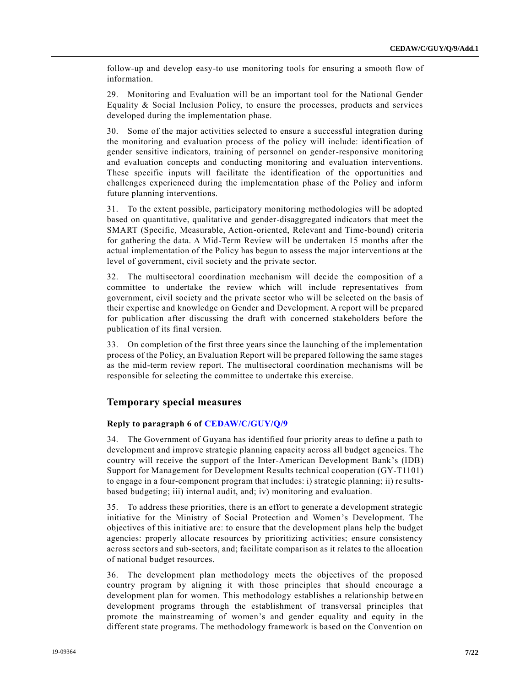follow-up and develop easy-to use monitoring tools for ensuring a smooth flow of information.

29. Monitoring and Evaluation will be an important tool for the National Gender Equality & Social Inclusion Policy, to ensure the processes, products and services developed during the implementation phase.

30. Some of the major activities selected to ensure a successful integration during the monitoring and evaluation process of the policy will include: identification of gender sensitive indicators, training of personnel on gender-responsive monitoring and evaluation concepts and conducting monitoring and evaluation interventions. These specific inputs will facilitate the identification of the opportunities and challenges experienced during the implementation phase of the Policy and inform future planning interventions.

31. To the extent possible, participatory monitoring methodologies will be adopted based on quantitative, qualitative and gender-disaggregated indicators that meet the SMART (Specific, Measurable, Action-oriented, Relevant and Time-bound) criteria for gathering the data. A Mid-Term Review will be undertaken 15 months after the actual implementation of the Policy has begun to assess the major interventions at the level of government, civil society and the private sector.

32. The multisectoral coordination mechanism will decide the composition of a committee to undertake the review which will include representatives from government, civil society and the private sector who will be selected on the basis of their expertise and knowledge on Gender and Development. A report will be prepared for publication after discussing the draft with concerned stakeholders before the publication of its final version.

33. On completion of the first three years since the launching of the implementation process of the Policy, an Evaluation Report will be prepared following the same stages as the mid-term review report. The multisectoral coordination mechanisms will be responsible for selecting the committee to undertake this exercise.

#### **Temporary special measures**

## **Reply to paragraph 6 of [CEDAW/C/GUY/Q/9](https://undocs.org/en/CEDAW/C/GUY/Q/9)**

34. The Government of Guyana has identified four priority areas to define a path to development and improve strategic planning capacity across all budget agencies. The country will receive the support of the Inter-American Development Bank's (IDB) Support for Management for Development Results technical cooperation (GY-T1101) to engage in a four-component program that includes: i) strategic planning; ii) resultsbased budgeting; iii) internal audit, and; iv) monitoring and evaluation.

35. To address these priorities, there is an effort to generate a development strategic initiative for the Ministry of Social Protection and Women's Development. The objectives of this initiative are: to ensure that the development plans help the budget agencies: properly allocate resources by prioritizing activities; ensure consistency across sectors and sub-sectors, and; facilitate comparison as it relates to the allocation of national budget resources.

36. The development plan methodology meets the objectives of the proposed country program by aligning it with those principles that should encourage a development plan for women. This methodology establishes a relationship betwe en development programs through the establishment of transversal principles that promote the mainstreaming of women's and gender equality and equity in the different state programs. The methodology framework is based on the Convention on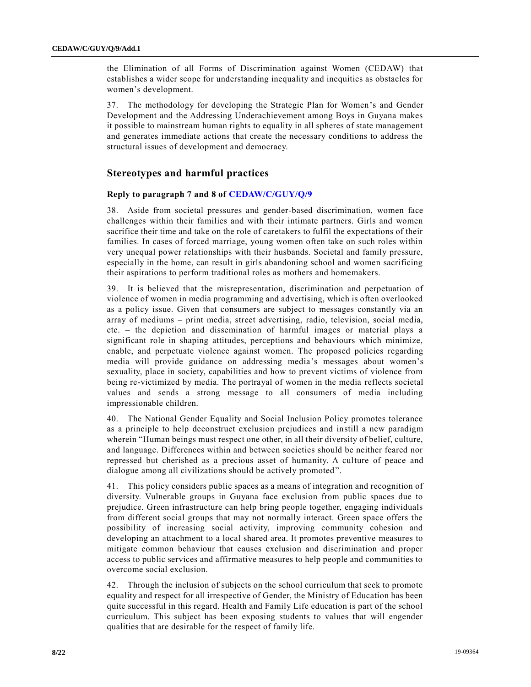the Elimination of all Forms of Discrimination against Women (CEDAW) that establishes a wider scope for understanding inequality and inequities as obstacles for women's development.

37. The methodology for developing the Strategic Plan for Women's and Gender Development and the Addressing Underachievement among Boys in Guyana makes it possible to mainstream human rights to equality in all spheres of state management and generates immediate actions that create the necessary conditions to address the structural issues of development and democracy.

# **Stereotypes and harmful practices**

#### **Reply to paragraph 7 and 8 of [CEDAW/C/GUY/Q/9](https://undocs.org/en/CEDAW/C/GUY/Q/9)**

38. Aside from societal pressures and gender-based discrimination, women face challenges within their families and with their intimate partners. Girls and women sacrifice their time and take on the role of caretakers to fulfil the expectations of their families. In cases of forced marriage, young women often take on such roles within very unequal power relationships with their husbands. Societal and family pressure, especially in the home, can result in girls abandoning school and women sacrificing their aspirations to perform traditional roles as mothers and homemakers.

39. It is believed that the misrepresentation, discrimination and perpetuation of violence of women in media programming and advertising, which is often overlooked as a policy issue. Given that consumers are subject to messages constantly via an array of mediums – print media, street advertising, radio, television, social media, etc. – the depiction and dissemination of harmful images or material plays a significant role in shaping attitudes, perceptions and behaviours which minimize, enable, and perpetuate violence against women. The proposed policies regarding media will provide guidance on addressing media's messages about women's sexuality, place in society, capabilities and how to prevent victims of violence from being re-victimized by media. The portrayal of women in the media reflects societal values and sends a strong message to all consumers of media including impressionable children.

40. The National Gender Equality and Social Inclusion Policy promotes tolerance as a principle to help deconstruct exclusion prejudices and instill a new paradigm wherein "Human beings must respect one other, in all their diversity of belief, culture, and language. Differences within and between societies should be neither feared nor repressed but cherished as a precious asset of humanity. A culture of peace and dialogue among all civilizations should be actively promoted".

41. This policy considers public spaces as a means of integration and recognition of diversity. Vulnerable groups in Guyana face exclusion from public spaces due to prejudice. Green infrastructure can help bring people together, engaging individuals from different social groups that may not normally interact. Green space offers the possibility of increasing social activity, improving community cohesion and developing an attachment to a local shared area. It promotes preventive measures to mitigate common behaviour that causes exclusion and discrimination and proper access to public services and affirmative measures to help people and communities to overcome social exclusion.

42. Through the inclusion of subjects on the school curriculum that seek to promote equality and respect for all irrespective of Gender, the Ministry of Education has been quite successful in this regard. Health and Family Life education is part of the school curriculum. This subject has been exposing students to values that will engender qualities that are desirable for the respect of family life.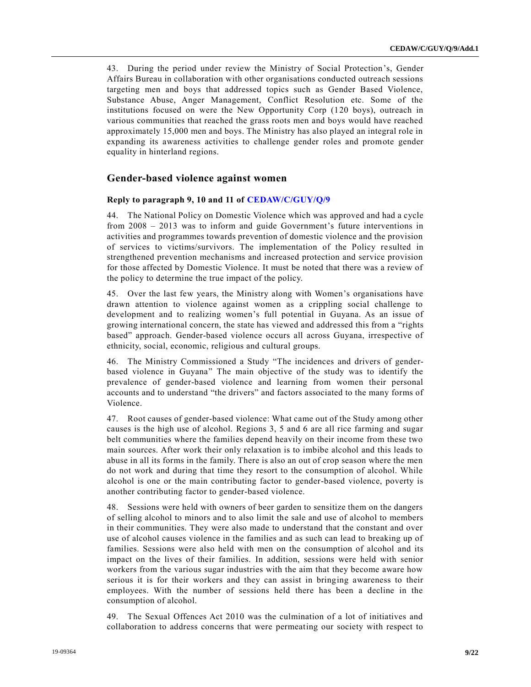43. During the period under review the Ministry of Social Protection's, Gender Affairs Bureau in collaboration with other organisations conducted outreach sessions targeting men and boys that addressed topics such as Gender Based Violence, Substance Abuse, Anger Management, Conflict Resolution etc. Some of the institutions focused on were the New Opportunity Corp (120 boys), outreach in various communities that reached the grass roots men and boys would have reached approximately 15,000 men and boys. The Ministry has also played an integral role in expanding its awareness activities to challenge gender roles and promote gender equality in hinterland regions.

# **Gender-based violence against women**

#### **Reply to paragraph 9, 10 and 11 of [CEDAW/C/GUY/Q/9](https://undocs.org/en/CEDAW/C/GUY/Q/9)**

44. The National Policy on Domestic Violence which was approved and had a cycle from 2008 – 2013 was to inform and guide Government's future interventions in activities and programmes towards prevention of domestic violence and the provision of services to victims/survivors. The implementation of the Policy re sulted in strengthened prevention mechanisms and increased protection and service provision for those affected by Domestic Violence. It must be noted that there was a review of the policy to determine the true impact of the policy.

45. Over the last few years, the Ministry along with Women's organisations have drawn attention to violence against women as a crippling social challenge to development and to realizing women's full potential in Guyana. As an issue of growing international concern, the state has viewed and addressed this from a "rights based" approach. Gender-based violence occurs all across Guyana, irrespective of ethnicity, social, economic, religious and cultural groups.

46. The Ministry Commissioned a Study "The incidences and drivers of genderbased violence in Guyana" The main objective of the study was to identify the prevalence of gender-based violence and learning from women their personal accounts and to understand "the drivers" and factors associated to the many forms of Violence.

47. Root causes of gender-based violence: What came out of the Study among other causes is the high use of alcohol. Regions 3, 5 and 6 are all rice farming and sugar belt communities where the families depend heavily on their income from these two main sources. After work their only relaxation is to imbibe alcohol and this leads to abuse in all its forms in the family. There is also an out of crop season where the men do not work and during that time they resort to the consumption of alcohol. While alcohol is one or the main contributing factor to gender-based violence, poverty is another contributing factor to gender-based violence.

48. Sessions were held with owners of beer garden to sensitize them on the dangers of selling alcohol to minors and to also limit the sale and use of alcohol to members in their communities. They were also made to understand that the constant and over use of alcohol causes violence in the families and as such can lead to breaking up of families. Sessions were also held with men on the consumption of alcohol and its impact on the lives of their families. In addition, sessions were held with senior workers from the various sugar industries with the aim that they become aware how serious it is for their workers and they can assist in bringing awareness to their employees. With the number of sessions held there has been a decline in the consumption of alcohol.

49. The Sexual Offences Act 2010 was the culmination of a lot of initiatives and collaboration to address concerns that were permeating our society with respect to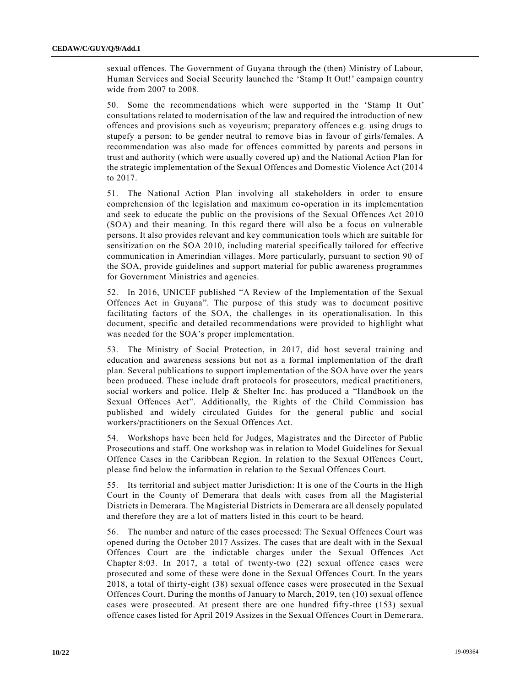sexual offences. The Government of Guyana through the (then) Ministry of Labour, Human Services and Social Security launched the 'Stamp It Out!' campaign country wide from 2007 to 2008.

50. Some the recommendations which were supported in the 'Stamp It Out' consultations related to modernisation of the law and required the introduction of new offences and provisions such as voyeurism; preparatory offences e.g. using drugs to stupefy a person; to be gender neutral to remove bias in favour of girls/females. A recommendation was also made for offences committed by parents and persons in trust and authority (which were usually covered up) and the National Action Plan for the strategic implementation of the Sexual Offences and Domestic Violence Act (2014 to 2017.

51. The National Action Plan involving all stakeholders in order to ensure comprehension of the legislation and maximum co-operation in its implementation and seek to educate the public on the provisions of the Sexual Offences Act 2010 (SOA) and their meaning. In this regard there will also be a focus on vulnerable persons. It also provides relevant and key communication tools which are suitable for sensitization on the SOA 2010, including material specifically tailored for effective communication in Amerindian villages. More particularly, pursuant to section 90 of the SOA, provide guidelines and support material for public awareness programmes for Government Ministries and agencies.

52. In 2016, UNICEF published "A Review of the Implementation of the Sexual Offences Act in Guyana". The purpose of this study was to document positive facilitating factors of the SOA, the challenges in its operationalisation. In this document, specific and detailed recommendations were provided to highlight what was needed for the SOA's proper implementation.

53. The Ministry of Social Protection, in 2017, did host several training and education and awareness sessions but not as a formal implementation of the draft plan. Several publications to support implementation of the SOA have over the years been produced. These include draft protocols for prosecutors, medical practitioners, social workers and police. Help & Shelter Inc. has produced a "Handbook on the Sexual Offences Act". Additionally, the Rights of the Child Commission has published and widely circulated Guides for the general public and social workers/practitioners on the Sexual Offences Act.

54. Workshops have been held for Judges, Magistrates and the Director of Public Prosecutions and staff. One workshop was in relation to Model Guidelines for Sexual Offence Cases in the Caribbean Region. In relation to the Sexual Offences Court, please find below the information in relation to the Sexual Offences Court.

55. Its territorial and subject matter Jurisdiction: It is one of the Courts in the High Court in the County of Demerara that deals with cases from all the Magisterial Districts in Demerara. The Magisterial Districts in Demerara are all densely populated and therefore they are a lot of matters listed in this court to be heard.

56. The number and nature of the cases processed: The Sexual Offences Court was opened during the October 2017 Assizes. The cases that are dealt with in the Sexual Offences Court are the indictable charges under the Sexual Offences Act Chapter 8:03. In 2017, a total of twenty-two (22) sexual offence cases were prosecuted and some of these were done in the Sexual Offences Court. In the years 2018, a total of thirty-eight (38) sexual offence cases were prosecuted in the Sexual Offences Court. During the months of January to March, 2019, ten (10) sexual offence cases were prosecuted. At present there are one hundred fifty-three (153) sexual offence cases listed for April 2019 Assizes in the Sexual Offences Court in Deme rara.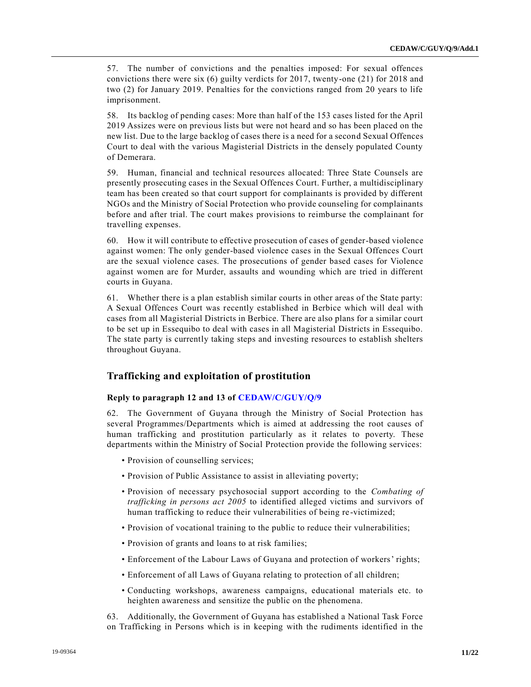57. The number of convictions and the penalties imposed: For sexual offences convictions there were six (6) guilty verdicts for 2017, twenty-one (21) for 2018 and two (2) for January 2019. Penalties for the convictions ranged from 20 years to life imprisonment.

58. Its backlog of pending cases: More than half of the 153 cases listed for the April 2019 Assizes were on previous lists but were not heard and so has been placed on the new list. Due to the large backlog of cases there is a need for a second Sexual Offences Court to deal with the various Magisterial Districts in the densely populated County of Demerara.

59. Human, financial and technical resources allocated: Three State Counsels are presently prosecuting cases in the Sexual Offences Court. Further, a multidisciplinary team has been created so that court support for complainants is provided by different NGOs and the Ministry of Social Protection who provide counseling for complainants before and after trial. The court makes provisions to reimburse the complainant for travelling expenses.

60. How it will contribute to effective prosecution of cases of gender-based violence against women: The only gender-based violence cases in the Sexual Offences Court are the sexual violence cases. The prosecutions of gender based cases for Violence against women are for Murder, assaults and wounding which are tried in different courts in Guyana.

61. Whether there is a plan establish similar courts in other areas of the State party: A Sexual Offences Court was recently established in Berbice which will deal with cases from all Magisterial Districts in Berbice. There are also plans for a similar court to be set up in Essequibo to deal with cases in all Magisterial Districts in Essequibo. The state party is currently taking steps and investing resources to establish shelters throughout Guyana.

# **Trafficking and exploitation of prostitution**

#### **Reply to paragraph 12 and 13 of [CEDAW/C/GUY/Q/9](https://undocs.org/en/CEDAW/C/GUY/Q/9)**

62. The Government of Guyana through the Ministry of Social Protection has several Programmes/Departments which is aimed at addressing the root causes of human trafficking and prostitution particularly as it relates to poverty. These departments within the Ministry of Social Protection provide the following services:

- Provision of counselling services;
- Provision of Public Assistance to assist in alleviating poverty;
- Provision of necessary psychosocial support according to the *Combating of trafficking in persons act 2005* to identified alleged victims and survivors of human trafficking to reduce their vulnerabilities of being re -victimized;
- Provision of vocational training to the public to reduce their vulnerabilities;
- Provision of grants and loans to at risk families;
- Enforcement of the Labour Laws of Guyana and protection of workers' rights;
- Enforcement of all Laws of Guyana relating to protection of all children;
- Conducting workshops, awareness campaigns, educational materials etc. to heighten awareness and sensitize the public on the phenomena.

63. Additionally, the Government of Guyana has established a National Task Force on Trafficking in Persons which is in keeping with the rudiments identified in the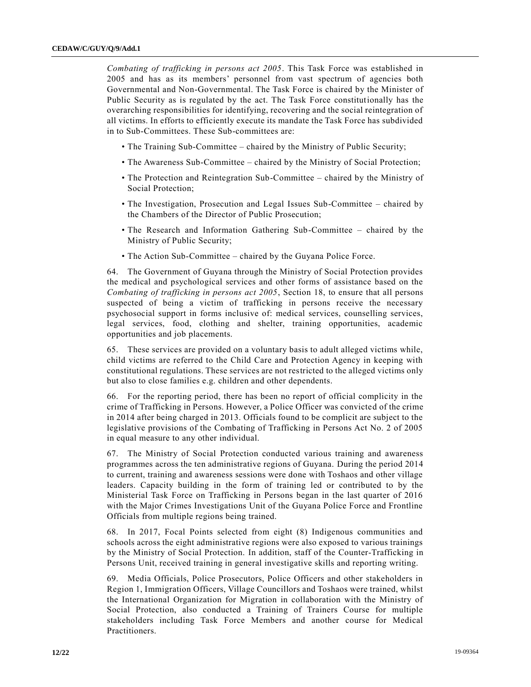*Combating of trafficking in persons act 2005*. This Task Force was established in 2005 and has as its members' personnel from vast spectrum of agencies both Governmental and Non-Governmental. The Task Force is chaired by the Minister of Public Security as is regulated by the act. The Task Force constitutionally has the overarching responsibilities for identifying, recovering and the social reintegration of all victims. In efforts to efficiently execute its mandate the Task Force has subdivided in to Sub-Committees. These Sub-committees are:

- The Training Sub-Committee chaired by the Ministry of Public Security;
- The Awareness Sub-Committee chaired by the Ministry of Social Protection;
- The Protection and Reintegration Sub-Committee chaired by the Ministry of Social Protection;
- The Investigation, Prosecution and Legal Issues Sub-Committee chaired by the Chambers of the Director of Public Prosecution;
- The Research and Information Gathering Sub-Committee chaired by the Ministry of Public Security;
- The Action Sub-Committee chaired by the Guyana Police Force.

64. The Government of Guyana through the Ministry of Social Protection provides the medical and psychological services and other forms of assistance based on the *Combating of trafficking in persons act 2005*, Section 18, to ensure that all persons suspected of being a victim of trafficking in persons receive the necessary psychosocial support in forms inclusive of: medical services, counselling services, legal services, food, clothing and shelter, training opportunities, academic opportunities and job placements.

65. These services are provided on a voluntary basis to adult alleged victims while, child victims are referred to the Child Care and Protection Agency in keeping with constitutional regulations. These services are not restricted to the alleged victims only but also to close families e.g. children and other dependents.

66. For the reporting period, there has been no report of official complicity in the crime of Trafficking in Persons. However, a Police Officer was convicted of the crime in 2014 after being charged in 2013. Officials found to be complicit are subject to the legislative provisions of the Combating of Trafficking in Persons Act No. 2 of 2005 in equal measure to any other individual.

67. The Ministry of Social Protection conducted various training and awareness programmes across the ten administrative regions of Guyana. During the period 2014 to current, training and awareness sessions were done with Toshaos and other village leaders. Capacity building in the form of training led or contributed to by the Ministerial Task Force on Trafficking in Persons began in the last quarter of 2016 with the Major Crimes Investigations Unit of the Guyana Police Force and Frontline Officials from multiple regions being trained.

68. In 2017, Focal Points selected from eight (8) Indigenous communities and schools across the eight administrative regions were also exposed to various trainings by the Ministry of Social Protection. In addition, staff of the Counter-Trafficking in Persons Unit, received training in general investigative skills and reporting writing.

69. Media Officials, Police Prosecutors, Police Officers and other stakeholders in Region 1, Immigration Officers, Village Councillors and Toshaos were trained, whilst the International Organization for Migration in collaboration with the Ministry of Social Protection, also conducted a Training of Trainers Course for multiple stakeholders including Task Force Members and another course for Medical Practitioners.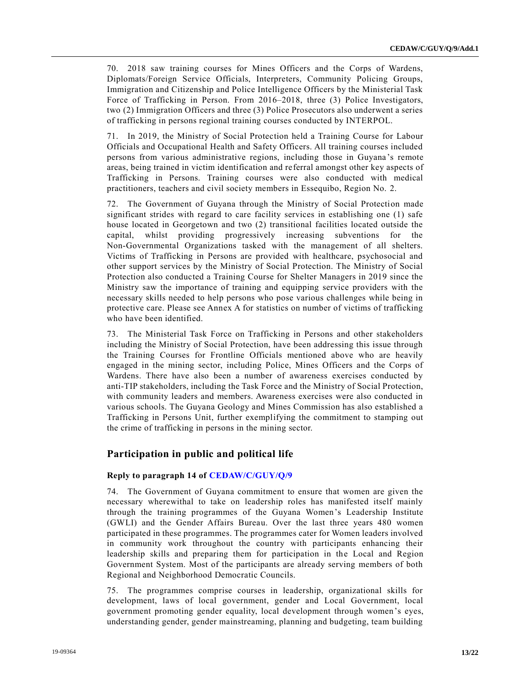70. 2018 saw training courses for Mines Officers and the Corps of Wardens, Diplomats/Foreign Service Officials, Interpreters, Community Policing Groups, Immigration and Citizenship and Police Intelligence Officers by the Ministerial Task Force of Trafficking in Person. From 2016–2018, three (3) Police Investigators, two (2) Immigration Officers and three (3) Police Prosecutors also underwent a series of trafficking in persons regional training courses conducted by INTERPOL.

71. In 2019, the Ministry of Social Protection held a Training Course for Labour Officials and Occupational Health and Safety Officers. All training courses included persons from various administrative regions, including those in Guyana 's remote areas, being trained in victim identification and referral amongst other key aspects of Trafficking in Persons. Training courses were also conducted with medical practitioners, teachers and civil society members in Essequibo, Region No. 2.

72. The Government of Guyana through the Ministry of Social Protection made significant strides with regard to care facility services in establishing one (1) safe house located in Georgetown and two (2) transitional facilities located outside the capital, whilst providing progressively increasing subventions for the Non-Governmental Organizations tasked with the management of all shelters. Victims of Trafficking in Persons are provided with healthcare, psychosocial and other support services by the Ministry of Social Protection. The Ministry of Social Protection also conducted a Training Course for Shelter Managers in 2019 since the Ministry saw the importance of training and equipping service providers with the necessary skills needed to help persons who pose various challenges while being in protective care. Please see Annex A for statistics on number of victims of trafficking who have been identified.

73. The Ministerial Task Force on Trafficking in Persons and other stakeholders including the Ministry of Social Protection, have been addressing this issue through the Training Courses for Frontline Officials mentioned above who are heavily engaged in the mining sector, including Police, Mines Officers and the Corps of Wardens. There have also been a number of awareness exercises conducted by anti-TIP stakeholders, including the Task Force and the Ministry of Social Protection, with community leaders and members. Awareness exercises were also conducted in various schools. The Guyana Geology and Mines Commission has also established a Trafficking in Persons Unit, further exemplifying the commitment to stamping out the crime of trafficking in persons in the mining sector.

# **Participation in public and political life**

#### **Reply to paragraph 14 of [CEDAW/C/GUY/Q/9](https://undocs.org/en/CEDAW/C/GUY/Q/9)**

74. The Government of Guyana commitment to ensure that women are given the necessary wherewithal to take on leadership roles has manifested itself mainly through the training programmes of the Guyana Women's Leadership Institute (GWLI) and the Gender Affairs Bureau. Over the last three years 480 women participated in these programmes. The programmes cater for Women leaders involved in community work throughout the country with participants enhancing their leadership skills and preparing them for participation in the Local and Region Government System. Most of the participants are already serving members of both Regional and Neighborhood Democratic Councils.

75. The programmes comprise courses in leadership, organizational skills for development, laws of local government, gender and Local Government, local government promoting gender equality, local development through women's eyes, understanding gender, gender mainstreaming, planning and budgeting, team building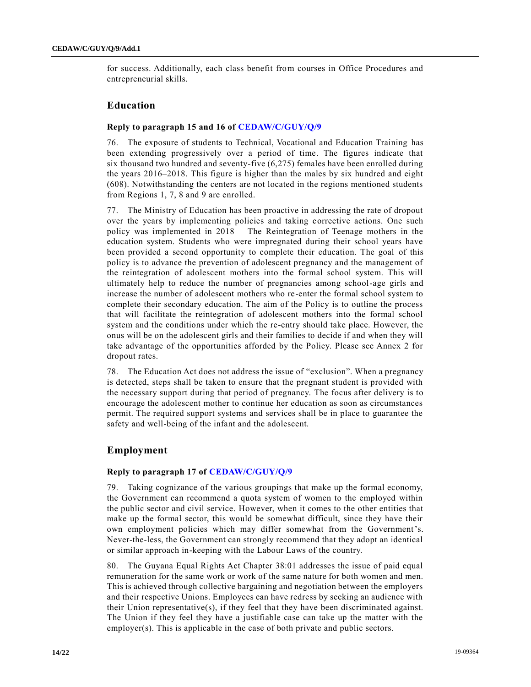for success. Additionally, each class benefit from courses in Office Procedures and entrepreneurial skills.

# **Education**

#### **Reply to paragraph 15 and 16 of [CEDAW/C/GUY/Q/9](https://undocs.org/en/CEDAW/C/GUY/Q/9)**

76. The exposure of students to Technical, Vocational and Education Training has been extending progressively over a period of time. The figures indicate that six thousand two hundred and seventy-five (6,275) females have been enrolled during the years 2016–2018. This figure is higher than the males by six hundred and eight (608). Notwithstanding the centers are not located in the regions mentioned students from Regions 1, 7, 8 and 9 are enrolled.

77. The Ministry of Education has been proactive in addressing the rate of dropout over the years by implementing policies and taking corrective actions. One such policy was implemented in 2018 – The Reintegration of Teenage mothers in the education system. Students who were impregnated during their school years have been provided a second opportunity to complete their education. The goal of this policy is to advance the prevention of adolescent pregnancy and the management of the reintegration of adolescent mothers into the formal school system. This will ultimately help to reduce the number of pregnancies among school-age girls and increase the number of adolescent mothers who re-enter the formal school system to complete their secondary education. The aim of the Policy is to outline the process that will facilitate the reintegration of adolescent mothers into the formal school system and the conditions under which the re-entry should take place. However, the onus will be on the adolescent girls and their families to decide if and when they will take advantage of the opportunities afforded by the Policy. Please see Annex 2 for dropout rates.

78. The Education Act does not address the issue of "exclusion". When a pregnancy is detected, steps shall be taken to ensure that the pregnant student is provided with the necessary support during that period of pregnancy. The focus after delivery is to encourage the adolescent mother to continue her education as soon as circumstances permit. The required support systems and services shall be in place to guarantee the safety and well-being of the infant and the adolescent.

# **Employment**

#### **Reply to paragraph 17 of [CEDAW/C/GUY/Q/9](https://undocs.org/en/CEDAW/C/GUY/Q/9)**

79. Taking cognizance of the various groupings that make up the formal economy, the Government can recommend a quota system of women to the employed within the public sector and civil service. However, when it comes to the other entities that make up the formal sector, this would be somewhat difficult, since they have their own employment policies which may differ somewhat from the Government's. Never-the-less, the Government can strongly recommend that they adopt an identical or similar approach in-keeping with the Labour Laws of the country.

80. The Guyana Equal Rights Act Chapter 38:01 addresses the issue of paid equal remuneration for the same work or work of the same nature for both women and men. This is achieved through collective bargaining and negotiation between the employers and their respective Unions. Employees can have redress by seeking an audience with their Union representative(s), if they feel that they have been discriminated against. The Union if they feel they have a justifiable case can take up the matter with the employer(s). This is applicable in the case of both private and public sectors.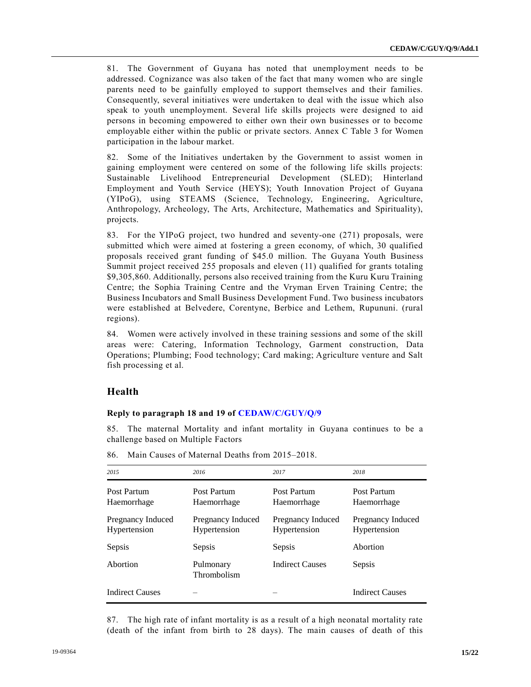81. The Government of Guyana has noted that unemployment needs to be addressed. Cognizance was also taken of the fact that many women who are single parents need to be gainfully employed to support themselves and their families. Consequently, several initiatives were undertaken to deal with the issue which also speak to youth unemployment. Several life skills projects were designed to aid persons in becoming empowered to either own their own businesses or to become employable either within the public or private sectors. Annex C Table 3 for Women participation in the labour market.

82. Some of the Initiatives undertaken by the Government to assist women in gaining employment were centered on some of the following life skills projects: Sustainable Livelihood Entrepreneurial Development (SLED); Hinterland Employment and Youth Service (HEYS); Youth Innovation Project of Guyana (YIPoG), using STEAMS (Science, Technology, Engineering, Agriculture, Anthropology, Archeology, The Arts, Architecture, Mathematics and Spirituality), projects.

83. For the YIPoG project, two hundred and seventy-one (271) proposals, were submitted which were aimed at fostering a green economy, of which, 30 qualified proposals received grant funding of \$45.0 million. The Guyana Youth Business Summit project received 255 proposals and eleven (11) qualified for grants totaling \$9,305,860. Additionally, persons also received training from the Kuru Kuru Training Centre; the Sophia Training Centre and the Vryman Erven Training Centre; the Business Incubators and Small Business Development Fund. Two business incubators were established at Belvedere, Corentyne, Berbice and Lethem, Rupununi. (rural regions).

84. Women were actively involved in these training sessions and some of the skill areas were: Catering, Information Technology, Garment construction, Data Operations; Plumbing; Food technology; Card making; Agriculture venture and Salt fish processing et al.

# **Health**

#### **Reply to paragraph 18 and 19 of [CEDAW/C/GUY/Q/9](https://undocs.org/en/CEDAW/C/GUY/Q/9)**

85. The maternal Mortality and infant mortality in Guyana continues to be a challenge based on Multiple Factors

| 2015                              | 2016                              | 2017                              | 2018                              |
|-----------------------------------|-----------------------------------|-----------------------------------|-----------------------------------|
| Post Partum<br>Haemorrhage        | Post Partum<br>Haemorrhage        | Post Partum<br>Haemorrhage        | Post Partum<br>Haemorrhage        |
| Pregnancy Induced<br>Hypertension | Pregnancy Induced<br>Hypertension | Pregnancy Induced<br>Hypertension | Pregnancy Induced<br>Hypertension |
| Sepsis                            | Sepsis                            | Sepsis                            | Abortion                          |
| Abortion                          | Pulmonary<br>Thrombolism          | <b>Indirect Causes</b>            | Sepsis                            |
| <b>Indirect Causes</b>            |                                   |                                   | <b>Indirect Causes</b>            |

86. Main Causes of Maternal Deaths from 2015–2018.

87. The high rate of infant mortality is as a result of a high neonatal mortality rate (death of the infant from birth to 28 days). The main causes of death of this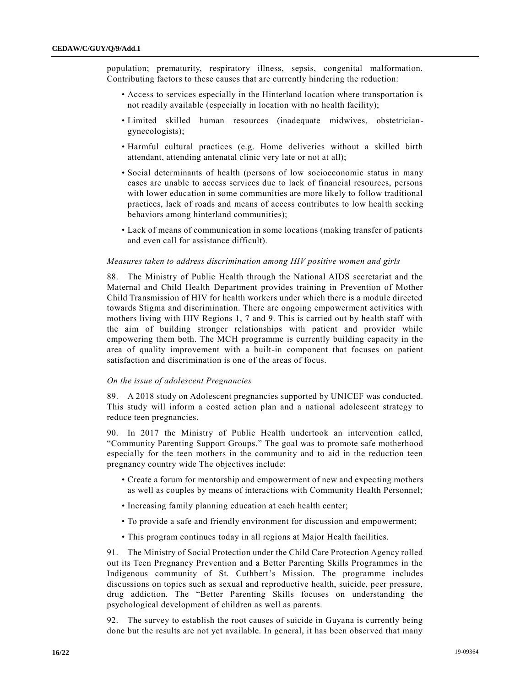population; prematurity, respiratory illness, sepsis, congenital malformation. Contributing factors to these causes that are currently hindering the reduction:

- Access to services especially in the Hinterland location where transportation is not readily available (especially in location with no health facility);
- Limited skilled human resources (inadequate midwives, obstetriciangynecologists);
- Harmful cultural practices (e.g. Home deliveries without a skilled birth attendant, attending antenatal clinic very late or not at all);
- Social determinants of health (persons of low socioeconomic status in many cases are unable to access services due to lack of financial resources, persons with lower education in some communities are more likely to follow traditional practices, lack of roads and means of access contributes to low health seeking behaviors among hinterland communities);
- Lack of means of communication in some locations (making transfer of patients and even call for assistance difficult).

#### *Measures taken to address discrimination among HIV positive women and girls*

88. The Ministry of Public Health through the National AIDS secretariat and the Maternal and Child Health Department provides training in Prevention of Mother Child Transmission of HIV for health workers under which there is a module directed towards Stigma and discrimination. There are ongoing empowerment activities with mothers living with HIV Regions 1, 7 and 9. This is carried out by health staff with the aim of building stronger relationships with patient and provider while empowering them both. The MCH programme is currently building capacity in the area of quality improvement with a built-in component that focuses on patient satisfaction and discrimination is one of the areas of focus.

#### *On the issue of adolescent Pregnancies*

89. A 2018 study on Adolescent pregnancies supported by UNICEF was conducted. This study will inform a costed action plan and a national adolescent strategy to reduce teen pregnancies.

90. In 2017 the Ministry of Public Health undertook an intervention called, "Community Parenting Support Groups." The goal was to promote safe motherhood especially for the teen mothers in the community and to aid in the reduction teen pregnancy country wide The objectives include:

- Create a forum for mentorship and empowerment of new and expecting mothers as well as couples by means of interactions with Community Health Personnel;
- Increasing family planning education at each health center;
- To provide a safe and friendly environment for discussion and empowerment;
- This program continues today in all regions at Major Health facilities.

91. The Ministry of Social Protection under the Child Care Protection Agency rolled out its Teen Pregnancy Prevention and a Better Parenting Skills Programmes in the Indigenous community of St. Cuthbert's Mission. The programme includes discussions on topics such as sexual and reproductive health, suicide, peer pressure, drug addiction. The "Better Parenting Skills focuses on understanding the psychological development of children as well as parents.

92. The survey to establish the root causes of suicide in Guyana is currently being done but the results are not yet available. In general, it has been observed that many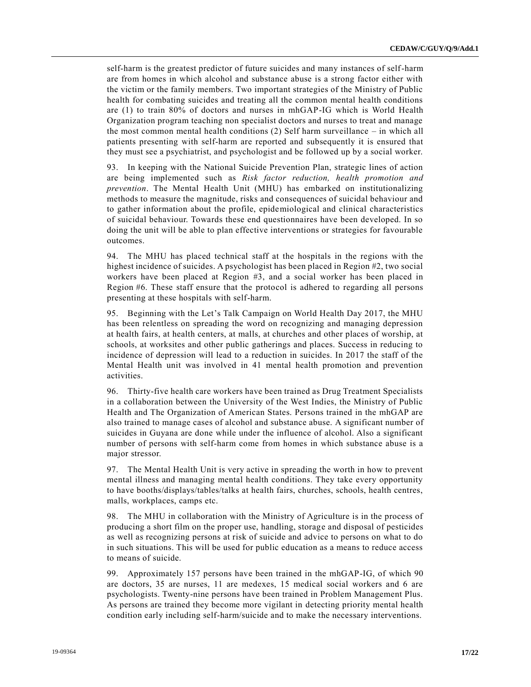self-harm is the greatest predictor of future suicides and many instances of self-harm are from homes in which alcohol and substance abuse is a strong factor either with the victim or the family members. Two important strategies of the Ministry of Public health for combating suicides and treating all the common mental health conditions are (1) to train 80% of doctors and nurses in mhGAP-IG which is World Health Organization program teaching non specialist doctors and nurses to treat and manage the most common mental health conditions (2) Self harm surveillance – in which all patients presenting with self-harm are reported and subsequently it is ensured that they must see a psychiatrist, and psychologist and be followed up by a social worker.

93. In keeping with the National Suicide Prevention Plan, strategic lines of action are being implemented such as *Risk factor reduction, health promotion and prevention*. The Mental Health Unit (MHU) has embarked on institutionalizing methods to measure the magnitude, risks and consequences of suicidal behaviour and to gather information about the profile, epidemiological and clinical characteristics of suicidal behaviour. Towards these end questionnaires have been developed. In so doing the unit will be able to plan effective interventions or strategies for favourable outcomes.

94. The MHU has placed technical staff at the hospitals in the regions with the highest incidence of suicides. A psychologist has been placed in Region #2, two social workers have been placed at Region #3, and a social worker has been placed in Region #6. These staff ensure that the protocol is adhered to regarding all persons presenting at these hospitals with self-harm.

95. Beginning with the Let's Talk Campaign on World Health Day 2017, the MHU has been relentless on spreading the word on recognizing and managing depression at health fairs, at health centers, at malls, at churches and other places of worship, at schools, at worksites and other public gatherings and places. Success in reducing to incidence of depression will lead to a reduction in suicides. In 2017 the staff of the Mental Health unit was involved in 41 mental health promotion and prevention activities.

96. Thirty-five health care workers have been trained as Drug Treatment Specialists in a collaboration between the University of the West Indies, the Ministry of Public Health and The Organization of American States. Persons trained in the mhGAP are also trained to manage cases of alcohol and substance abuse. A significant number of suicides in Guyana are done while under the influence of alcohol. Also a significant number of persons with self-harm come from homes in which substance abuse is a major stressor.

97. The Mental Health Unit is very active in spreading the worth in how to prevent mental illness and managing mental health conditions. They take every opportunity to have booths/displays/tables/talks at health fairs, churches, schools, health centres, malls, workplaces, camps etc.

98. The MHU in collaboration with the Ministry of Agriculture is in the process of producing a short film on the proper use, handling, storage and disposal of pesticides as well as recognizing persons at risk of suicide and advice to persons on what to do in such situations. This will be used for public education as a means to reduce access to means of suicide.

99. Approximately 157 persons have been trained in the mhGAP-IG, of which 90 are doctors, 35 are nurses, 11 are medexes, 15 medical social workers and 6 are psychologists. Twenty-nine persons have been trained in Problem Management Plus. As persons are trained they become more vigilant in detecting priority mental health condition early including self-harm/suicide and to make the necessary interventions.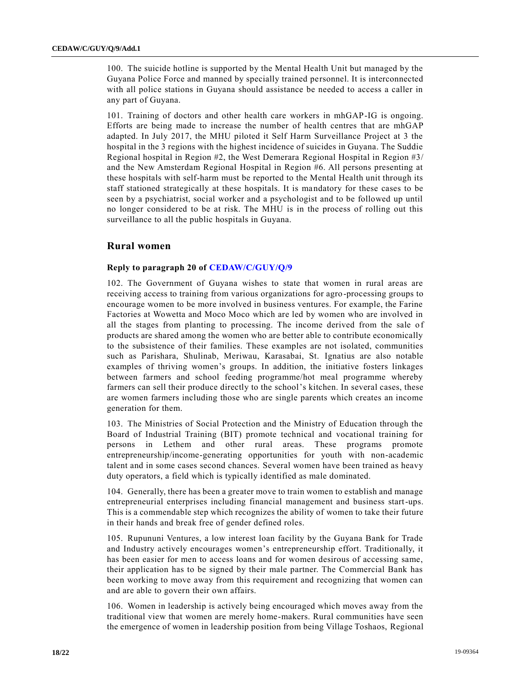100. The suicide hotline is supported by the Mental Health Unit but managed by the Guyana Police Force and manned by specially trained personnel. It is interconnected with all police stations in Guyana should assistance be needed to access a caller in any part of Guyana.

101. Training of doctors and other health care workers in mhGAP-IG is ongoing. Efforts are being made to increase the number of health centres that are mhGAP adapted. In July 2017, the MHU piloted it Self Harm Surveillance Project at 3 the hospital in the 3 regions with the highest incidence of suicides in Guyana. The Suddie Regional hospital in Region #2, the West Demerara Regional Hospital in Region #3/ and the New Amsterdam Regional Hospital in Region #6. All persons presenting at these hospitals with self-harm must be reported to the Mental Health unit through its staff stationed strategically at these hospitals. It is mandatory for these cases to be seen by a psychiatrist, social worker and a psychologist and to be followed up until no longer considered to be at risk. The MHU is in the process of rolling out this surveillance to all the public hospitals in Guyana.

# **Rural women**

#### **Reply to paragraph 20 of [CEDAW/C/GUY/Q/9](https://undocs.org/en/CEDAW/C/GUY/Q/9)**

102. The Government of Guyana wishes to state that women in rural areas are receiving access to training from various organizations for agro-processing groups to encourage women to be more involved in business ventures. For example, the Farine Factories at Wowetta and Moco Moco which are led by women who are involved in all the stages from planting to processing. The income derived from the sale of products are shared among the women who are better able to contribute economically to the subsistence of their families. These examples are not isolated, communities such as Parishara, Shulinab, Meriwau, Karasabai, St. Ignatius are also notable examples of thriving women's groups. In addition, the initiative fosters linkages between farmers and school feeding programme/hot meal programme whereby farmers can sell their produce directly to the school's kitchen. In several cases, these are women farmers including those who are single parents which creates an income generation for them.

103. The Ministries of Social Protection and the Ministry of Education through the Board of Industrial Training (BIT) promote technical and vocational training for persons in Lethem and other rural areas. These programs promote entrepreneurship/income-generating opportunities for youth with non-academic talent and in some cases second chances. Several women have been trained as heavy duty operators, a field which is typically identified as male dominated.

104. Generally, there has been a greater move to train women to establish and manage entrepreneurial enterprises including financial management and business start-ups. This is a commendable step which recognizes the ability of women to take their future in their hands and break free of gender defined roles.

105. Rupununi Ventures, a low interest loan facility by the Guyana Bank for Trade and Industry actively encourages women's entrepreneurship effort. Traditionally, it has been easier for men to access loans and for women desirous of accessing same, their application has to be signed by their male partner. The Commercial Bank has been working to move away from this requirement and recognizing that women can and are able to govern their own affairs.

106. Women in leadership is actively being encouraged which moves away from the traditional view that women are merely home-makers. Rural communities have seen the emergence of women in leadership position from being Village Toshaos, Regional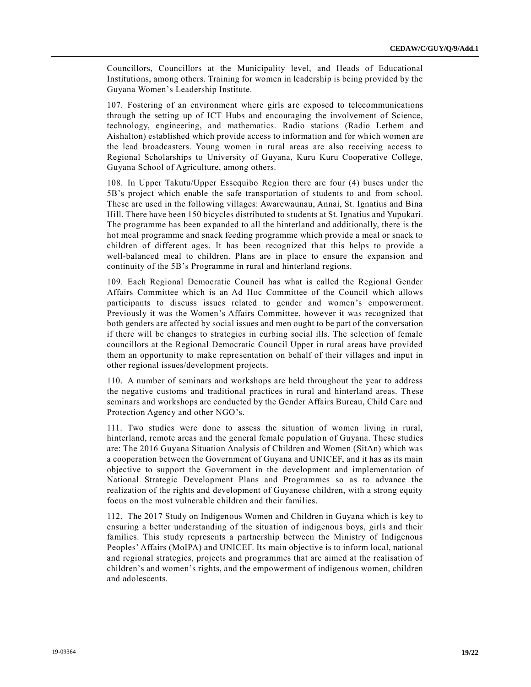Councillors, Councillors at the Municipality level, and Heads of Educational Institutions, among others. Training for women in leadership is being provided by the Guyana Women's Leadership Institute.

107. Fostering of an environment where girls are exposed to telecommunications through the setting up of ICT Hubs and encouraging the involvement of Science, technology, engineering, and mathematics. Radio stations (Radio Lethem and Aishalton) established which provide access to information and for which women are the lead broadcasters. Young women in rural areas are also receiving access to Regional Scholarships to University of Guyana, Kuru Kuru Cooperative College, Guyana School of Agriculture, among others.

108. In Upper Takutu/Upper Essequibo Region there are four (4) buses under the 5B's project which enable the safe transportation of students to and from school. These are used in the following villages: Awarewaunau, Annai, St. Ignatius and Bina Hill. There have been 150 bicycles distributed to students at St. Ignatius and Yupukari. The programme has been expanded to all the hinterland and additionally, there is the hot meal programme and snack feeding programme which provide a meal or snack to children of different ages. It has been recognized that this helps to provide a well-balanced meal to children. Plans are in place to ensure the expansion and continuity of the 5B's Programme in rural and hinterland regions.

109. Each Regional Democratic Council has what is called the Regional Gender Affairs Committee which is an Ad Hoc Committee of the Council which allows participants to discuss issues related to gender and women's empowerment. Previously it was the Women's Affairs Committee, however it was recognized that both genders are affected by social issues and men ought to be part of the conversation if there will be changes to strategies in curbing social ills. The selection of female councillors at the Regional Democratic Council Upper in rural areas have provided them an opportunity to make representation on behalf of their villages and input in other regional issues/development projects.

110. A number of seminars and workshops are held throughout the year to address the negative customs and traditional practices in rural and hinterland areas. These seminars and workshops are conducted by the Gender Affairs Bureau, Child Care and Protection Agency and other NGO's.

111. Two studies were done to assess the situation of women living in rural, hinterland, remote areas and the general female population of Guyana. These studies are: The 2016 Guyana Situation Analysis of Children and Women (SitAn) which was a cooperation between the Government of Guyana and UNICEF, and it has as its main objective to support the Government in the development and implementation of National Strategic Development Plans and Programmes so as to advance the realization of the rights and development of Guyanese children, with a strong equity focus on the most vulnerable children and their families.

112. The 2017 Study on Indigenous Women and Children in Guyana which is key to ensuring a better understanding of the situation of indigenous boys, girls and their families. This study represents a partnership between the Ministry of Indigenous Peoples' Affairs (MoIPA) and UNICEF. Its main objective is to inform local, national and regional strategies, projects and programmes that are aimed at the realisation of children's and women's rights, and the empowerment of indigenous women, children and adolescents.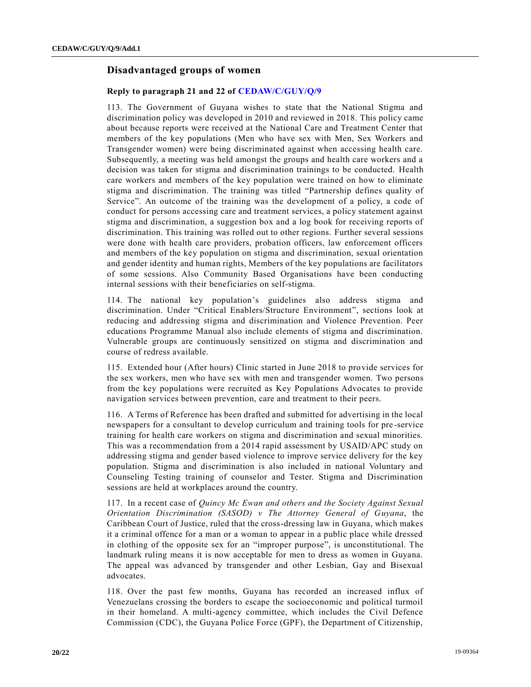# **Disadvantaged groups of women**

#### **Reply to paragraph 21 and 22 of [CEDAW/C/GUY/Q/9](https://undocs.org/en/CEDAW/C/GUY/Q/9)**

113. The Government of Guyana wishes to state that the National Stigma and discrimination policy was developed in 2010 and reviewed in 2018. This policy came about because reports were received at the National Care and Treatment Center that members of the key populations (Men who have sex with Men, Sex Workers and Transgender women) were being discriminated against when accessing health care. Subsequently, a meeting was held amongst the groups and health care workers and a decision was taken for stigma and discrimination trainings to be conducted. Health care workers and members of the key population were trained on how to eliminate stigma and discrimination. The training was titled "Partnership defines quality of Service". An outcome of the training was the development of a policy, a code of conduct for persons accessing care and treatment services, a policy statement against stigma and discrimination, a suggestion box and a log book for receiving reports of discrimination. This training was rolled out to other regions. Further several sessions were done with health care providers, probation officers, law enforcement officers and members of the key population on stigma and discrimination, sexual orientation and gender identity and human rights, Members of the key populations are facilitators of some sessions. Also Community Based Organisations have been conducting internal sessions with their beneficiaries on self-stigma.

114. The national key population's guidelines also address stigma and discrimination. Under "Critical Enablers/Structure Environment", sections look at reducing and addressing stigma and discrimination and Violence Prevention. Peer educations Programme Manual also include elements of stigma and discrimination. Vulnerable groups are continuously sensitized on stigma and discrimination and course of redress available.

115. Extended hour (After hours) Clinic started in June 2018 to provide services for the sex workers, men who have sex with men and transgender women. Two persons from the key populations were recruited as Key Populations Advocates to provide navigation services between prevention, care and treatment to their peers.

116. A Terms of Reference has been drafted and submitted for advertising in the local newspapers for a consultant to develop curriculum and training tools for pre -service training for health care workers on stigma and discrimination and sexual minorities. This was a recommendation from a 2014 rapid assessment by USAID/APC study on addressing stigma and gender based violence to improve service delivery for the key population. Stigma and discrimination is also included in national Voluntary and Counseling Testing training of counselor and Tester. Stigma and Discrimination sessions are held at workplaces around the country.

117. In a recent case of *Quincy Mc Ewan and others and the Society Against Sexual Orientation Discrimination (SASOD) v The Attorney General of Guyana*, the Caribbean Court of Justice, ruled that the cross-dressing law in Guyana, which makes it a criminal offence for a man or a woman to appear in a public place while dressed in clothing of the opposite sex for an "improper purpose", is unconstitutional. The landmark ruling means it is now acceptable for men to dress as women in Guyana. The appeal was advanced by transgender and other Lesbian, Gay and Bisexual advocates.

118. Over the past few months, Guyana has recorded an increased influx of Venezuelans crossing the borders to escape the socioeconomic and political turmoil in their homeland. A multi-agency committee, which includes the Civil Defence Commission (CDC), the Guyana Police Force (GPF), the Department of Citizenship,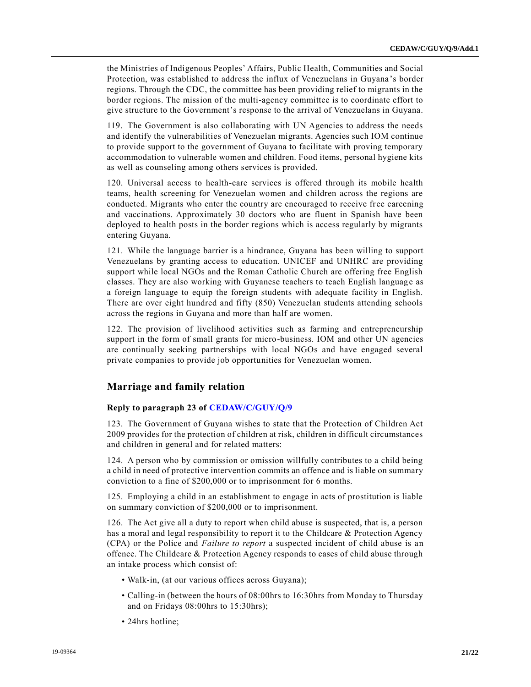the Ministries of Indigenous Peoples' Affairs, Public Health, Communities and Social Protection, was established to address the influx of Venezuelans in Guyana 's border regions. Through the CDC, the committee has been providing relief to migrants in the border regions. The mission of the multi-agency committee is to coordinate effort to give structure to the Government's response to the arrival of Venezuelans in Guyana.

119. The Government is also collaborating with UN Agencies to address the needs and identify the vulnerabilities of Venezuelan migrants. Agencies such IOM continue to provide support to the government of Guyana to facilitate with proving temporary accommodation to vulnerable women and children. Food items, personal hygiene kits as well as counseling among others services is provided.

120. Universal access to health-care services is offered through its mobile health teams, health screening for Venezuelan women and children across the regions are conducted. Migrants who enter the country are encouraged to receive free careening and vaccinations. Approximately 30 doctors who are fluent in Spanish have been deployed to health posts in the border regions which is access regularly by migrants entering Guyana.

121. While the language barrier is a hindrance, Guyana has been willing to support Venezuelans by granting access to education. UNICEF and UNHRC are providing support while local NGOs and the Roman Catholic Church are offering free English classes. They are also working with Guyanese teachers to teach English language as a foreign language to equip the foreign students with adequate facility in English. There are over eight hundred and fifty (850) Venezuelan students attending schools across the regions in Guyana and more than half are women.

122. The provision of livelihood activities such as farming and entrepreneurship support in the form of small grants for micro-business. IOM and other UN agencies are continually seeking partnerships with local NGOs and have engaged several private companies to provide job opportunities for Venezuelan women.

# **Marriage and family relation**

#### **Reply to paragraph 23 of [CEDAW/C/GUY/Q/9](https://undocs.org/en/CEDAW/C/GUY/Q/9)**

123. The Government of Guyana wishes to state that the Protection of Children Act 2009 provides for the protection of children at risk, children in difficult circumstances and children in general and for related matters:

124. A person who by commission or omission willfully contributes to a child being a child in need of protective intervention commits an offence and is liable on summary conviction to a fine of \$200,000 or to imprisonment for 6 months.

125. Employing a child in an establishment to engage in acts of prostitution is liable on summary conviction of \$200,000 or to imprisonment.

126. The Act give all a duty to report when child abuse is suspected, that is, a person has a moral and legal responsibility to report it to the Childcare & Protection Agency (CPA) or the Police and *Failure to report* a suspected incident of child abuse is an offence. The Childcare & Protection Agency responds to cases of child abuse through an intake process which consist of:

- Walk-in, (at our various offices across Guyana);
- Calling-in (between the hours of 08:00hrs to 16:30hrs from Monday to Thursday and on Fridays 08:00hrs to 15:30hrs);
- 24hrs hotline: